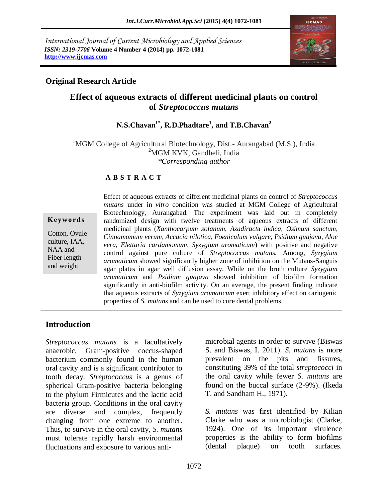*International Journal of Current Microbiology and Applied Sciences ISSN: 2319-7706* **Volume 4 Number 4 (2014) pp. 1072-1081 http://www.ijcmas.com**



## **Original Research Article**

## **Effect of aqueous extracts of different medicinal plants on control of** *Streptococcus mutans*

# **N.S.Chavan1\* , R.D.Phadtare<sup>1</sup> , and T.B.Chavan<sup>2</sup>**

<sup>1</sup>MGM College of Agricultural Biotechnology, Dist.- Aurangabad (M.S.), India <sup>2</sup>MGM KVK, Gandheli, India *\*Corresponding author* 

## **A B S T R A C T**

#### **K ey w o rd s**

Cotton, Ovule culture, IAA, NAA and Fiber length and weight

Effect of aqueous extracts of different medicinal plants on control of *Streptococcus mutans* under in *vitro* condition was studied at MGM College of Agricultural Biotechnology, Aurangabad. The experiment was laid out in completely randomized design with twelve treatments of aqueous extracts of different medicinal plants (*Xanthocarpum solanum*, *Azadiract*a *indica*, *Osimum sanctum*, *Cinnamomum verum*, *Accacia nilotica*, *Foeniculum vulgare*, *Psidium guajava*, *Aloe vera*, *Elettaria cardamomum*, *Syzygium aromaticum*) with positive and negative control against pure culture of *Streptococcus mutans.* Among, *Syzygium aromaticum* showed significantly higher zone of inhibition on the Mutans-Sanguis agar plates in agar well diffusion assay. While on the broth culture *Syzygium aromaticum* and *Psidium guajava* showed inhibition of biofilm formation significantly in anti-biofilm activity. On an average, the present finding indicate that aqueous extracts of *Syzygium aromaticum* exert inhibitory effect on cariogenic properties of *S. mutans* and can be used to cure dental problems.

## **Introduction**

*Streptococcus mutans* is a [facultatively](http://en.wikipedia.org/wiki/Facultative_anaerobic_organism)  [anaerobic,](http://en.wikipedia.org/wiki/Facultative_anaerobic_organism) [Gram-positive](http://en.wikipedia.org/wiki/Gram-positive) coccus-shaped [bacterium](http://en.wikipedia.org/wiki/Bacteria) commonly found in the [human](http://en.wikipedia.org/wiki/Human) [oral cavity](http://en.wikipedia.org/wiki/Oral_cavity) and is a significant contributor to [tooth decay.](http://en.wikipedia.org/wiki/Dental_caries) *[Streptococcus](http://en.wikipedia.org/wiki/Streptococcus)* is a [genus](http://en.wikipedia.org/wiki/Genus) of spherical Gram-positive bacteria belonging to the phylum Firmicutes and the lactic acid bacteria group. Conditions in the [oral cavity](http://en.wikipedia.org/wiki/Mouth) are diverse and complex, frequently changing from one extreme to another. Thus, to survive in the oral cavity, *S. mutans* must tolerate rapidly harsh environmental fluctuations and exposure to various antimicrobial agents in order to survive (Biswas S. and Biswas, I. 2011). *S. mutans* is more prevalent on the pits and [fissures,](http://en.wikipedia.org/wiki/Fissure_(dentistry)) constituting 39% of the total *streptococci* in the oral cavity while fewer *S. mutans* are found on the buccal surface (2-9%). (Ikeda T. and Sandham H., 1971).

*S. mutans* was first identified by Kilian Clarke who was a microbiologist (Clarke, 1924). One of its important virulence properties is the ability to form biofilms (dental plaque) on tooth surfaces.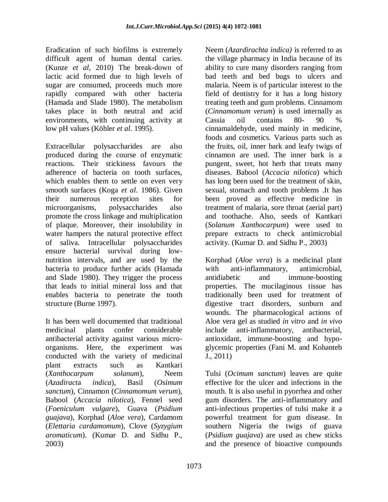Eradication of such biofilms is extremely difficult agent of human dental caries. (Kunze *et al*, 2010) The break-down of lactic acid formed due to high levels of sugar are consumed, proceeds much more rapidly compared with other bacteria (Hamada and Slade 1980). The metabolism takes place in both neutral and acid environments, with continuing activity at low pH values (Köhler *et al*. 1995).

Extracellular polysaccharides are also produced during the course of enzymatic reactions. Their stickiness favours the adherence of bacteria on tooth surfaces, which enables them to settle on even very smooth surfaces (Koga *et al*. 1986). Given their numerous reception sites for microorganisms, polysaccharides also promote the cross linkage and multiplication of plaque. Moreover, their insolubility in water hampers the natural protective effect of saliva. Intracellular polysaccharides ensure bacterial survival during lownutrition intervals, and are used by the bacteria to produce further acids (Hamada and Slade 1980). They trigger the process that leads to initial mineral loss and that enables bacteria to penetrate the tooth structure (Burne 1997).

It has been well documented that traditional medicinal plants confer considerable antibacterial activity against various microorganisms. Here, the experiment was conducted with the variety of medicinal plant extracts such as Kantkari (*Xanthocarpum solanum*), Neem (*Azadiract*a *indica*), Basil (*Osimum sanctum*), Cinnamon (*Cinnamomum verum*), Babool (*Accacia nilotica*), Fennel seed (*Foeniculum vulgare*), Guava (*Psidium guajava*), Korphad (*Aloe vera*), Cardamom (*Elettaria cardamomum*), Clove (*Syzygium aromaticum*). (Kumar D. and Sidhu P., 2003)

Neem (*Azardirachta indica)* is referred to as the village pharmacy in India because of its ability to cure many disorders ranging from bad teeth and bed bugs to ulcers and malaria. Neem is of particular interest to the field of dentistry for it has a long history treating teeth and gum problems. Cinnamom (*Cinnamomum verum*) is used internally as Cassia oil contains 80- 90 % cinnamaldehyde, used mainly in medicine, foods and cosmetics. Various parts such as the fruits, oil, inner bark and leafy twigs of cinnamon are used. The inner bark is a pungent, sweet, hot herb that treats many diseases. Babool (*Accacia nilotica*) which has long been used for the treatment of skin, sexual, stomach and tooth problems .It has been proved as effective medicine in treatment of malaria, sore throat (aerial part) and toothache. Also, seeds of Kantkari (*Solanum Xanthocarpum*) were used to prepare extracts to check antimicrobial activity. (Kumar D. and Sidhu P., 2003)

Korphad (*Aloe vera*) is a medicinal plant with anti-inflammatory, antimicrobial, antidiabetic and immune-boosting properties. The mucilaginous tissue has traditionally been used for treatment of digestive tract disorders, sunburn and wounds. The pharmacological actions of Aloe vera gel as studied *in vitro* and *in vivo* include anti-inflammatory, antibacterial, antioxidant, immune-boosting and hypoglycemic properties (Fani M. and Kohanteb J., 2011)

Tulsi (*Ocimum sanctum*) leaves are quite effective for the ulcer and infections in the mouth. It is also useful in pyorrhea and other gum disorders. The anti-inflammatory and anti-infectious properties of tulsi make it a powerful treatment for gum disease. In southern Nigeria the twigs of guava (*Psidium guajava*) are used as chew sticks and the presence of bioactive compounds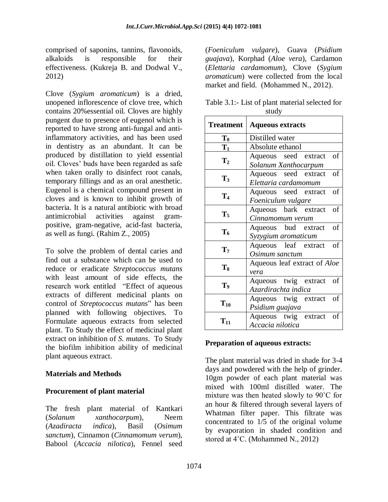comprised of saponins, tannins, flavonoids, alkaloids is responsible for their effectiveness. (Kukreja B. and Dodwal V., 2012)

Clove (*Sygium aromaticum*) is a dried, unopened inflorescence of clove tree, which contains 20%essential oil. Cloves are highly pungent due to presence of eugenol which is reported to have strong anti-fungal and antiinflammatory activities, and has been used in dentistry as an abundant. It can be produced by distillation to yield essential oil. Cloves' buds have been regarded as safe when taken orally to disinfect root canals, temporary fillings and as an oral anesthetic. Eugenol is a chemical compound present in cloves and is known to inhibit growth of bacteria. It is a natural antibiotic with broad antimicrobial activities against grampositive, gram-negative, acid-fast bacteria, as well as fungi. (Rahim Z., 2005)

To solve the problem of dental caries and find out a substance which can be used to reduce or eradicate *Streptococcus mutans* with least amount of side effects, the research work entitled "Effect of aqueous extracts of different medicinal plants on control of *Streptococcus mutans*" has been planned with following objectives. To Formulate aqueous extracts from selected plant. To Study the effect of medicinal plant extract on inhibition of *S. mutans*. To Study the biofilm inhibition ability of medicinal plant aqueous extract.

## **Materials and Methods**

## **Procurement of plant material**

The fresh plant material of Kantkari (*Solanum xanthocarpum*), Neem (*Azadiracta indica*), Basil (*Osimum sanctum*), Cinnamon (*Cinnamomum verum*), Babool (*Accacia nilotica*), Fennel seed (*Foeniculum vulgare*), Guava (*Psidium guajava*), Korphad (*Aloe vera*), Cardamon (*Elettaria cardamomum*), Clove (*Sygium aromaticum*) were collected from the local market and field. (Mohammed N., 2012).

| Table 3.1:- List of plant material selected for |  |  |  |  |  |
|-------------------------------------------------|--|--|--|--|--|
| study                                           |  |  |  |  |  |
|                                                 |  |  |  |  |  |

| <b>Treatment</b> | <b>Aqueous extracts</b>                            |  |  |  |  |  |
|------------------|----------------------------------------------------|--|--|--|--|--|
| $\mathbf{T_0}$   | Distilled water                                    |  |  |  |  |  |
| $T_1$            | Absolute ethanol                                   |  |  |  |  |  |
| T <sub>2</sub>   | Aqueous seed extract<br>of<br>Solanum Xanthocarpum |  |  |  |  |  |
| $T_3$            | of<br>Aqueous seed extract<br>Elettaria cardamomum |  |  |  |  |  |
| T <sub>4</sub>   | of<br>Aqueous seed extract<br>Foeniculum vulgare   |  |  |  |  |  |
| $\mathbf{T}_5$   | of<br>Aqueous bark extract<br>Cinnamomum verum     |  |  |  |  |  |
| $T_6$            | of<br>Aqueous bud extract<br>Syzygium aromaticum   |  |  |  |  |  |
| $T_7$            | Aqueous leaf extract<br>of<br>Osimum sanctum       |  |  |  |  |  |
| $T_8$            | Aqueous leaf extract of <i>Aloe</i><br>vera        |  |  |  |  |  |
| T <sub>9</sub>   | Aqueous twig extract<br>of<br>Azardirachta indica  |  |  |  |  |  |
| $T_{10}$         | of<br>Aqueous twig extract<br>Psidium guajava      |  |  |  |  |  |
| $\bf T_{11}$     | Aqueous twig extract<br>of<br>Accacia nilotica     |  |  |  |  |  |

## **Preparation of aqueous extracts:**

The plant material was dried in shade for 3-4 days and powdered with the help of grinder. 10gm powder of each plant material was mixed with 100ml distilled water. The mixture was then heated slowly to 90˚C for an hour & filtered through several layers of Whatman filter paper. This filtrate was concentrated to 1/5 of the original volume by evaporation in shaded condition and stored at 4˚C. (Mohammed N., 2012)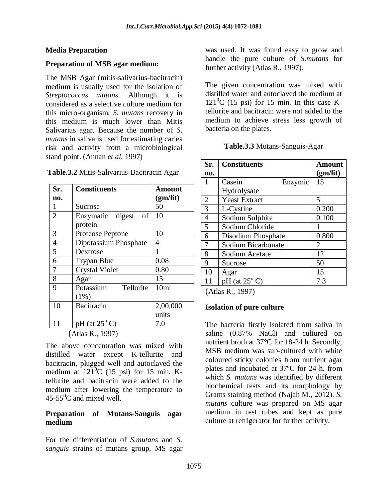## **Media Preparation**

#### **Preparation of MSB agar medium:**

The MSB Agar (mitis-salivarius-bacitracin) medium is usually used for the isolation of *Streptococcus mutans*. Although it is considered as a selective culture medium for this micro-organism, *S. mutans* recovery in this medium is much lower than Mitis Salivarius agar. Because the number of *S. mutans* in saliva is used for estimating caries risk and activity from a microbiological stand point. (Annan *et al*, 1997)

| Table.3.2 Mitis-Salivarius-Bacitracin Agar |  |
|--------------------------------------------|--|
|--------------------------------------------|--|

| Sr.            | <b>Constituents</b>      | <b>Amount</b> |
|----------------|--------------------------|---------------|
| no.            |                          | (gm/lit)      |
| 1              | Sucrose                  | 50            |
| $\overline{2}$ | Enzymatic digest<br>οf   | 10            |
|                | protein                  |               |
| 3              | Proteose Peptone         | 10            |
| $\overline{4}$ | Dipotassium Phosphate    | 4             |
| $\overline{5}$ | Dextrose                 | 1             |
| 6              | <b>Trypan Blue</b>       | 0.08          |
| $\overline{7}$ | <b>Crystal Violet</b>    | 0.80          |
| 8              | Agar                     | 15            |
| 9              | Potassium<br>Tellurite   | 10ml          |
|                | (1%)                     |               |
| 10             | Bacitracin               | 2,00,000      |
|                |                          | units         |
| 11             | $pH$ (at $25^{\circ}$ C) | 7.0           |

The above concentration was mixed with distilled water except K-tellurite and bacitracin, plugged well and autoclaved the medium at  $121^0C$  (15 psi) for 15 min. Ktellurite and bacitracin were added to the medium after lowering the temperature to  $45-55^{\circ}$ C and mixed well.

## **Preparation of Mutans-Sanguis agar medium**

For the differentiation of *S.mutans* and *S. sanguis* strains of mutans group, MS agar was used. It was found easy to grow and handle the pure culture of *S.mutans* for further activity (Atlas R., 1997).

The given concentration was mixed with distilled water and autoclaved the medium at  $121^0C$  (15 psi) for 15 min. In this case Ktellurite and bacitracin were not added to the medium to achieve stress less growth of bacteria on the plates.

| Sr.            | <b>Constituents</b>           | <b>Amount</b> |
|----------------|-------------------------------|---------------|
| no.            |                               | (gm/lit)      |
| 1              | Casein<br>Enzymic             | 15            |
|                | Hydrolysate                   |               |
| $\overline{2}$ | <b>Yeast Extract</b>          | 5             |
| $\overline{3}$ | L-Cystine                     | 0.200         |
| $\overline{4}$ | Sodium Sulphite               | 0.100         |
| 5              | Sodium Chloride               |               |
| 6              | Disodium Phosphate            | 0.800         |
| 7              | Sodium Bicarbonate            | 2             |
| 8              | Sodium Acetate                | 12            |
| 9              | Sucrose                       | 50            |
| 10             | Agar                          | 15            |
| 11             | $pH$ (at $25^{\circ}$ C)      | 7.3           |
| $\sqrt{1}$     | $\mathbf{D}$ 100 $\mathbf{D}$ |               |

(Atlas R., 1997)

#### **Isolation of pure culture**

The bacteria firstly isolated from saliva in saline (0.87% NaCl) and cultured on nutrient broth at 37°C for 18-24 h. Secondly, MSB medium was sub-cultured with white coloured sticky colonies from nutrient agar plates and incubated at 37ºC for 24 h. from which *S. mutans* was identified by different biochemical tests and its morphology by Grams staining method (Najah M., 2012). *S. mutans* culture was prepared on MS agar medium in test tubes and kept as pure culture at refrigerator for further activity.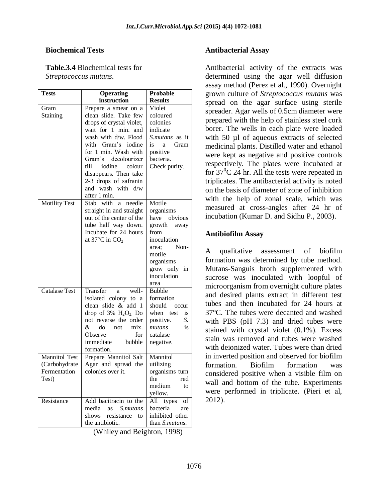#### **Biochemical Tests**

**Table.3.4** Biochemical tests for *Streptococcus mutans*.

| Tests                                                          | <b>Operating</b>                                                                                                                                                                                                                                                                                                 | <b>Probable</b>                                                                                                                                             |  |  |  |
|----------------------------------------------------------------|------------------------------------------------------------------------------------------------------------------------------------------------------------------------------------------------------------------------------------------------------------------------------------------------------------------|-------------------------------------------------------------------------------------------------------------------------------------------------------------|--|--|--|
|                                                                | instruction                                                                                                                                                                                                                                                                                                      | <b>Results</b>                                                                                                                                              |  |  |  |
| Gram<br>Staining                                               | Prepare a smear on a<br>clean slide. Take few<br>drops of crystal violet,<br>wait for 1 min. and<br>wash with d/w. Flood<br>with Gram's iodine<br>for 1 min. Wash with<br>Gram's<br>decolourizer<br>till iodine<br>colour<br>disappears. Then take<br>2-3 drops of safranin<br>and wash with d/w<br>after 1 min. | Violet<br>coloured<br>colonies<br>indicate<br>S.mutans as it<br>is.<br>Gram<br>a<br>positive<br>bacteria.<br>Check purity.                                  |  |  |  |
| <b>Motility Test</b>                                           | Stab with<br>needle<br>a<br>straight in and straight<br>out of the center of the<br>tube half way down.<br>Incubate for 24 hours<br>at 37 $\mathrm{^{\circ}C}$ in CO <sub>2</sub>                                                                                                                                | Motile<br>organisms<br>have obvious<br>growth away<br>from<br>inoculation<br>Non-<br>area:<br>motile<br>organisms<br>grow only<br>in<br>inoculation<br>area |  |  |  |
| <b>Catalase Test</b>                                           | Transfer<br>well-<br>a<br>isolated colony to a<br>clean slide & add 1<br>drop of $3\%$ $H_2O_2$ Do<br>not reverse the order<br>&.<br>do<br>mix.<br>not<br>Observe<br>for<br>immediate<br>bubble<br>formation.                                                                                                    | <b>Bubble</b><br>formation<br>should<br>occur<br>when test<br><i>is</i><br>positive.<br>S.<br>is<br>mutans<br>catalase<br>negative.                         |  |  |  |
| <b>Mannitol Test</b><br>(Carbohydrate<br>Fermentation<br>Test) | Prepare Mannitol Salt<br>Agar and spread the<br>colonies over it.                                                                                                                                                                                                                                                | Mannitol<br>utilizing<br>organisms turn<br>the<br>red<br>medium<br>to<br>yellow.                                                                            |  |  |  |
| Resistance                                                     | Add bacitracin to the<br>media<br>as a<br>S.mutans<br>shows<br>resistance<br>to<br>the antibiotic.                                                                                                                                                                                                               | All<br>types<br>of<br>bacteria<br>are<br>inhibited other<br>than S.mutans.                                                                                  |  |  |  |

<sup>(</sup>Whiley and Beighton, 1998)

#### **Antibacterial Assay**

Antibacterial activity of the extracts was determined using the agar well diffusion assay method (Perez et al., 1990). Overnight grown culture of *Streptococcus mutans* was spread on the agar surface using sterile spreader. Agar wells of 0.5cm diameter were prepared with the help of stainless steel cork borer. The wells in each plate were loaded with 50 µl of aqueous extracts of selected medicinal plants. Distilled water and ethanol were kept as negative and positive controls respectively. The plates were incubated at for  $37^{\circ}$ C 24 hr. All the tests were repeated in triplicates. The antibacterial activity is noted on the basis of diameter of zone of inhibition with the help of zonal scale, which was measured at cross-angles after 24 hr of incubation (Kumar D. and Sidhu P., 2003).

#### **Antibiofilm Assay**

A qualitative assessment of biofilm formation was determined by tube method. Mutans-Sanguis broth supplemented with sucrose was inoculated with loopful of microorganism from overnight culture plates and desired plants extract in different test tubes and then incubated for 24 hours at 37°C. The tubes were decanted and washed with PBS (pH 7.3) and dried tubes were stained with crystal violet (0.1%). Excess stain was removed and tubes were washed with deionized water. Tubes were than dried in inverted position and observed for biofilm formation. Biofilm formation was considered positive when a visible film on wall and bottom of the tube. Experiments were performed in triplicate. (Pieri et al, 2012).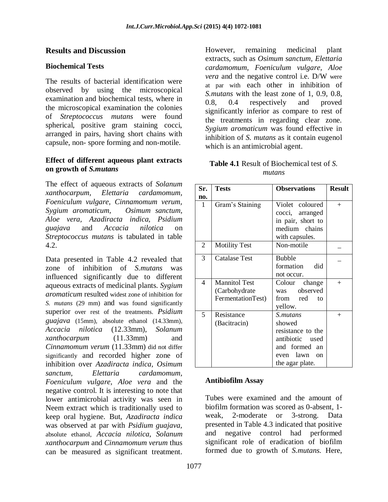## **Results and Discussion**

## **Biochemical Tests**

The results of bacterial identification were observed by using the microscopical examination and biochemical tests, where in the microscopical examination the colonies of *Streptococcus mutans* were found spherical, positive gram staining cocci, arranged in pairs, having short chains with capsule, non- spore forming and non-motile.

## **Effect of different aqueous plant extracts on growth of** *S.mutans*

The effect of aqueous extracts of *Solanum xanthocarpum, Elettaria cardamomum, Foeniculum vulgare, Cinnamomum verum, Sygium aromaticum, Osimum sanctum, Aloe vera, Azadiracta indica, Psidium guajava* and *Accacia nilotica* on *Streptococcus mutans* is tabulated in table 4.2.

Data presented in Table 4.2 revealed that zone of inhibition of *S.mutans* was influenced significantly due to different aqueous extracts of medicinal plants. *Sygium aromaticum* resulted widest zone of inhibition for *S. mutans* (29 mm) and was found significantly superior over rest of the treatments. *Psidium guajava* (15mm), absolute ethanol (14.33mm), *Accacia nilotica* (12.33mm), *Solanum xanthocarpum* (11.33mm) and *Cinnamomum verum* (11.33mm) did not differ significantly and recorded higher zone of inhibition over *Azadiracta indica, Osimum sanctum, Elettaria cardamomum, Foeniculum vulgare, Aloe vera* and the negative control. It is interesting to note that lower antimicrobial activity was seen in Neem extract which is traditionally used to keep oral hygiene. But, *Azadiracta indica*  was observed at par with *Psidium guajava,* absolute ethanol, *Accacia nilotica*, *Solanum xanthocarpum* and *Cinnamomum verum* thus can be measured as significant treatment.

However, remaining medicinal plant extracts, such as *Osimum sanctum, Elettaria cardamomum, Foeniculum vulgare, Aloe vera* and the negative control i.e. D/W were at par with each other in inhibition of *S.mutans* with the least zone of 1, 0.9, 0.8, 0.8, 0.4 respectively and proved significantly inferior as compare to rest of the treatments in regarding clear zone. *Sygium aromaticum* was found effective in inhibition of *S. mutans* as it contain eugenol which is an antimicrobial agent.

**Table 4.1** Result of Biochemical test of *S. mutans*

| Sr. | <b>Tests</b>         | <b>Observations</b>        | <b>Result</b> |
|-----|----------------------|----------------------------|---------------|
| no. |                      |                            |               |
| 1   | Gram's Staining      | Violet coloured            | $^{+}$        |
|     |                      | cocci, arranged            |               |
|     |                      | in pair, short to          |               |
|     |                      | medium chains              |               |
|     |                      | with capsules.             |               |
| 2   | <b>Motility Test</b> | Non-motile                 |               |
| 3   | <b>Catalase Test</b> | <b>Bubble</b>              |               |
|     |                      | formation<br>did           |               |
|     |                      | not occur.                 |               |
| 4   | Mannitol Test        | Colour<br>change           | $^{+}$        |
|     | (Carbohydrate)       | was observed               |               |
|     | FermentationTest)    | from red to                |               |
|     |                      | yellow.                    |               |
| 5   | Resistance           | <i>S.mutans</i>            | $^{+}$        |
|     | (Bacitracin)         | showed                     |               |
|     |                      | resistance to the          |               |
|     |                      | antibiotic used            |               |
|     |                      | and formed an              |               |
|     |                      | even lawn<br><sub>on</sub> |               |
|     |                      | the agar plate.            |               |

## **Antibiofilm Assay**

Tubes were examined and the amount of biofilm formation was scored as 0-absent, 1 weak, 2-moderate or 3-strong. Data presented in Table 4.3 indicated that positive and negative control had performed significant role of eradication of biofilm formed due to growth of *S.mutans.* Here,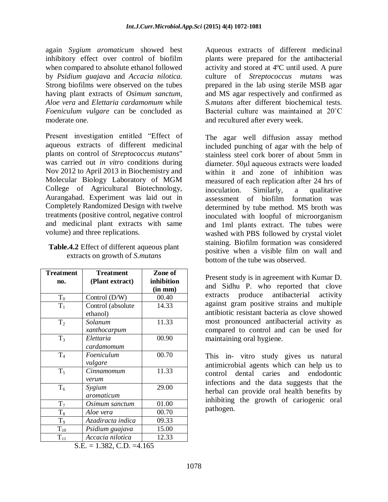again *Sygium aromaticum* showed best inhibitory effect over control of biofilm when compared to absolute ethanol followed by *Psidium guajava* and *Accacia nilotica.*  Strong biofilms were observed on the tubes having plant extracts of *Osimum sanctum, Aloe vera* and *Elettaria cardamomum* while *Foeniculum vulgare* can be concluded as moderate one.

Present investigation entitled "Effect of aqueous extracts of different medicinal plants on control of *Streptococcus mutans*" was carried out *in vitro* conditions during Nov 2012 to April 2013 in Biochemistry and Molecular Biology Laboratory of MGM College of Agricultural Biotechnology, Aurangabad. Experiment was laid out in Completely Randomized Design with twelve treatments (positive control, negative control and medicinal plant extracts with same volume) and three replications.

| <b>Table.4.2</b> Effect of different aqueous plant |
|----------------------------------------------------|
| extracts on growth of <i>S.mutans</i>              |

| <b>Treatment</b><br>(Plant extract) | Zone of<br>inhibition                                                                       |
|-------------------------------------|---------------------------------------------------------------------------------------------|
|                                     | $(in \, mm)$<br>00.40                                                                       |
|                                     | 14.33                                                                                       |
| ethanol)                            |                                                                                             |
| Solanum                             | 11.33                                                                                       |
| xanthocarpum                        |                                                                                             |
| Elettaria                           | 00.90                                                                                       |
| cardamomum                          |                                                                                             |
| Foeniculum                          | 00.70                                                                                       |
| vulgare                             |                                                                                             |
| Cinnamomum                          | 11.33                                                                                       |
| verum                               |                                                                                             |
| Sygium                              | 29.00                                                                                       |
| aromaticum                          |                                                                                             |
| Osimum sanctum                      | 01.00                                                                                       |
| Aloe vera                           | 00.70                                                                                       |
| Azadiracta indica                   | 09.33                                                                                       |
|                                     | 15.00                                                                                       |
| Accacia nilotica                    | 12.33                                                                                       |
|                                     | Control (D/W)<br>Control (absolute<br>Psidium guajava<br>$C$ $\Gamma$<br>$1.202$ CD $1.165$ |

Aqueous extracts of different medicinal plants were prepared for the antibacterial activity and stored at 4ºC until used. A pure culture of *Streptococcus mutans* was prepared in the lab using sterile MSB agar and MS agar respectively and confirmed as *S.mutans* after different biochemical tests. Bacterial culture was maintained at 20˚C and recultured after every week.

The agar well diffusion assay method included punching of agar with the help of stainless steel cork borer of about 5mm in diameter. 50μl aqueous extracts were loaded within it and zone of inhibition was measured of each replication after 24 hrs of inoculation. Similarly, a qualitative assessment of biofilm formation was determined by tube method. MS broth was inoculated with loopful of microorganism and 1ml plants extract. The tubes were washed with PBS followed by crystal violet staining. Biofilm formation was considered positive when a visible film on wall and bottom of the tube was observed.

Present study is in agreement with Kumar D. and Sidhu P. who reported that clove extracts produce antibacterial activity against gram positive strains and multiple antibiotic resistant bacteria as clove showed most pronounced antibacterial activity as compared to control and can be used for maintaining oral hygiene.

This in- vitro study gives us natural antimicrobial agents which can help us to control dental caries and endodontic infections and the data suggests that the herbal can provide oral health benefits by inhibiting the growth of cariogenic oral pathogen.

 $S.E. = 1.382, C.D. = 4.165$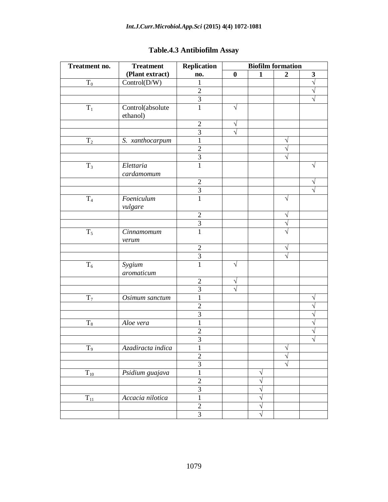## *Int.J.Curr.Microbiol.App.Sci* **(2015) 4(4) 1072-1081**

| Treatment no.  | <b>Treatment</b>  | Replication    | <b>Biofilm formation</b> |              |                |              |
|----------------|-------------------|----------------|--------------------------|--------------|----------------|--------------|
|                | (Plant extract)   | no.            | $\boldsymbol{0}$         | $\mathbf{1}$ | $\overline{2}$ | $\mathbf{3}$ |
| $T_0$          | Control(D/W)      | $\mathbf{1}$   |                          |              |                | $\sqrt{}$    |
|                |                   | $\overline{2}$ |                          |              |                | V            |
|                |                   | 3              |                          |              |                | $\sqrt{}$    |
| $\rm T_1$      | Control(absolute  | 1              | V                        |              |                |              |
|                | ethanol)          |                |                          |              |                |              |
|                |                   | $\mathfrak{2}$ | V                        |              |                |              |
|                |                   | $\overline{3}$ | $\sqrt{ }$               |              |                |              |
| $T_2$          | S. xanthocarpum   | $\mathbf{1}$   |                          |              | V              |              |
|                |                   | $\mathbf{2}$   |                          |              |                |              |
|                |                   | $\mathfrak{Z}$ |                          |              |                |              |
| $T_3$          | Elettaria         | $\mathbf{1}$   |                          |              |                | V            |
|                | cardamomum        |                |                          |              |                |              |
|                |                   | $\overline{2}$ |                          |              |                | V            |
|                |                   | $\overline{3}$ |                          |              |                |              |
| T <sub>4</sub> | Foeniculum        | 1              |                          |              | V              |              |
|                | vulgare           |                |                          |              |                |              |
|                |                   | $\overline{2}$ |                          |              | V              |              |
|                |                   | $\overline{3}$ |                          |              | $\sqrt{}$      |              |
| $\mathrm{T}_5$ | Cinnamomum        | $\mathbf{1}$   |                          |              | J              |              |
|                | verum             |                |                          |              |                |              |
|                |                   | $\mathbf{2}$   |                          |              |                |              |
|                |                   | $\mathfrak{Z}$ |                          |              |                |              |
| $\rm T_6$      | Sygium            | $\mathbf{1}$   | V                        |              |                |              |
|                | aromaticum        |                |                          |              |                |              |
|                |                   | $\overline{2}$ |                          |              |                |              |
|                |                   | $\overline{3}$ | $\sqrt{ }$               |              |                |              |
| $T_7$          | Osimum sanctum    | $\mathbf{1}$   |                          |              |                | V            |
|                |                   | $\sqrt{2}$     |                          |              |                | N            |
|                |                   | 3              |                          |              |                | V            |
| $T_8$          | Aloe vera         | 1              |                          |              |                | V            |
|                |                   | $\overline{2}$ |                          |              |                | V            |
|                |                   | $\mathfrak{Z}$ |                          |              |                | ٦            |
| $T_9$          | Azadiracta indica | T              |                          |              | V              |              |
|                |                   | $\overline{2}$ |                          |              | V              |              |
|                |                   | $\overline{3}$ |                          |              | $\sqrt{}$      |              |
| $T_{10}$       | Psidium guajava   | $\,1$          |                          | V            |                |              |
|                |                   | $\overline{2}$ |                          | V            |                |              |
|                |                   | $\overline{3}$ |                          | V            |                |              |
| $T_{11}$       | Accacia nilotica  | $\,1$          |                          | V            |                |              |
|                |                   | $\overline{2}$ |                          | $\sqrt{}$    |                |              |
|                |                   | $\overline{3}$ |                          | $\sqrt{}$    |                |              |

# **Table.4.3 Antibiofilm Assay**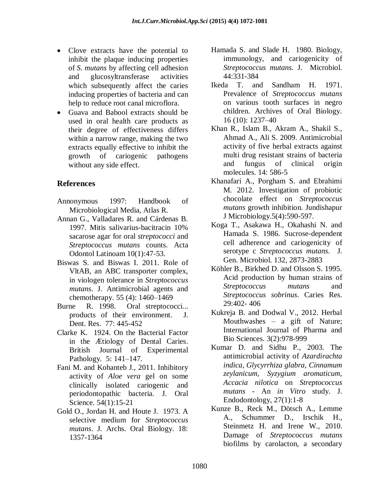- Clove extracts have the potential to inhibit the plaque inducing properties of *S. mutans* by affecting cell adhesion and glucosyltransferase activities which subsequently affect the caries inducing properties of bacteria and can help to reduce root canal microflora.
- Guava and Babool extracts should be used in oral health care products as their degree of effectiveness differs within a narrow range, making the two extracts equally effective to inhibit the growth of cariogenic pathogens without any side effect.

## **References**

- Annonymous 1997: Handbook of Microbiological Media, Atlas R.
- Annan G., Valladares R. and Cárdenas B. 1997. Mitis salivarius-bacitracin 10% sacarose agar for oral *streptococci* and *Streptococcus mutans* counts. Acta Odontol Latinoam 10(1):47-53.
- Biswas S. and Biswas I. 2011. Role of VltAB, an ABC transporter complex, in viologen tolerance in *Streptococcus mutans*. J. Antimicrobial agents and chemotherapy. 55 (4): 1460–1469
- Burne R. 1998. Oral streptococci... products of their environment. J. Dent. Res. 77: 445-452
- Clarke K. 1924. On the Bacterial Factor in the Ætiology of Dental Caries. British Journal of Experimental Pathology*.* 5: 141–147.
- Fani M. and Kohanteb J., 2011. Inhibitory activity of *Aloe vera* gel on some clinically isolated cariogenic and periodontopathic bacteria. J. Oral Science. 54(1):15-21
- Gold O., Jordan H. and Houte J. 1973. A selective medium for *Streptococcus mutans*. J. Archs. Oral Biology. 18: 1357-1364
- Hamada S. and Slade H. 1980. Biology, immunology, and cariogenicity of *Streptococcus mutans.* J. Microbiol. 44:331-384
- Ikeda T. and Sandham H. 1971. Prevalence of *Streptococcus mutans* on various tooth surfaces in negro children. Archives of Oral Biology*.*  16 (10): 1237–40
- Khan R., Islam B., Akram A., Shakil S., Ahmad A., Ali S. 2009. Antimicrobial activity of five herbal extracts against multi drug resistant strains of bacteria and fungus of clinical origin molecules. 14: 586-5
- Khanafari A., Porgham S. and Ebrahimi M. 2012. Investigation of probiotic chocolate effect on *Streptococcus mutans* growth inhibition. Jundishapur J Microbiology.5(4):590-597.
- Koga T., Asakawa H., Okahashi N. and Hamada S. 1986. Sucrose-dependent cell adherence and cariogenicity of serotype c *Streptococcus mutans*. J. Gen. Microbiol. 132, 2873-2883
- Köhler B., Birkhed D. and Olsson S. 1995. Acid production by human strains of *Streptococcus mutans* and *Streptococcus sobrinus*. Caries Res. 29:402- 406
- Kukreja B. and Dodwal V., 2012. Herbal Mouthwashes – a gift of Nature; International Journal of Pharma and Bio Sciences. 3(2):978-999
- Kumar D. and Sidhu P., 2003. The antimicrobial activity of *Azardirachta indica, Glycyrrhiza glabra, Cinnamum zeylanicum, Syzygium aromaticum, Accacia nilotica* on *Streptococcus mutans* - An *in Vitro* study. J. Endodontology, 27(1):1-8
- Kunze B., Reck M., Dötsch A., Lemme A., Schummer D., Irschik H., Steinmetz H. and Irene W., 2010. Damage of *Streptococcus mutans* biofilms by carolacton, a secondary